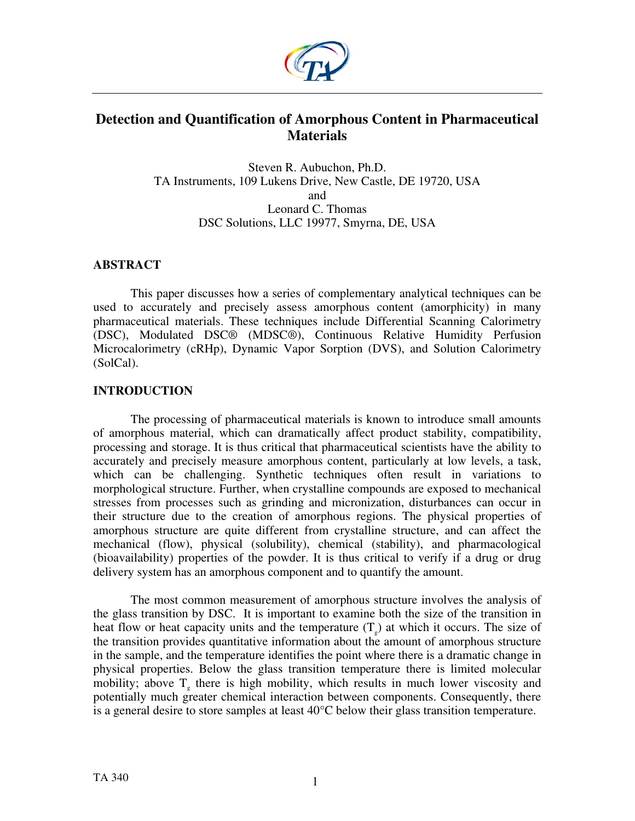

## **Detection and Quantification of Amorphous Content in Pharmaceutical Materials**

Steven R. Aubuchon, Ph.D. TA Instruments, 109 Lukens Drive, New Castle, DE 19720, USA and Leonard C. Thomas DSC Solutions, LLC 19977, Smyrna, DE, USA

## **ABSTRACT**

This paper discusses how a series of complementary analytical techniques can be used to accurately and precisely assess amorphous content (amorphicity) in many pharmaceutical materials. These techniques include Differential Scanning Calorimetry (DSC), Modulated DSC® (MDSC®), Continuous Relative Humidity Perfusion Microcalorimetry (cRHp), Dynamic Vapor Sorption (DVS), and Solution Calorimetry (SolCal).

## **INTRODUCTION**

The processing of pharmaceutical materials is known to introduce small amounts of amorphous material, which can dramatically affect product stability, compatibility, processing and storage. It is thus critical that pharmaceutical scientists have the ability to accurately and precisely measure amorphous content, particularly at low levels, a task, which can be challenging. Synthetic techniques often result in variations to morphological structure. Further, when crystalline compounds are exposed to mechanical stresses from processes such as grinding and micronization, disturbances can occur in their structure due to the creation of amorphous regions. The physical properties of amorphous structure are quite different from crystalline structure, and can affect the mechanical (flow), physical (solubility), chemical (stability), and pharmacological (bioavailability) properties of the powder. It is thus critical to verify if a drug or drug delivery system has an amorphous component and to quantify the amount.

The most common measurement of amorphous structure involves the analysis of the glass transition by DSC. It is important to examine both the size of the transition in heat flow or heat capacity units and the temperature  $(T_g)$  at which it occurs. The size of the transition provides quantitative information about the amount of amorphous structure in the sample, and the temperature identifies the point where there is a dramatic change in physical properties. Below the glass transition temperature there is limited molecular mobility; above  $T<sub>g</sub>$  there is high mobility, which results in much lower viscosity and potentially much greater chemical interaction between components. Consequently, there is a general desire to store samples at least 40°C below their glass transition temperature.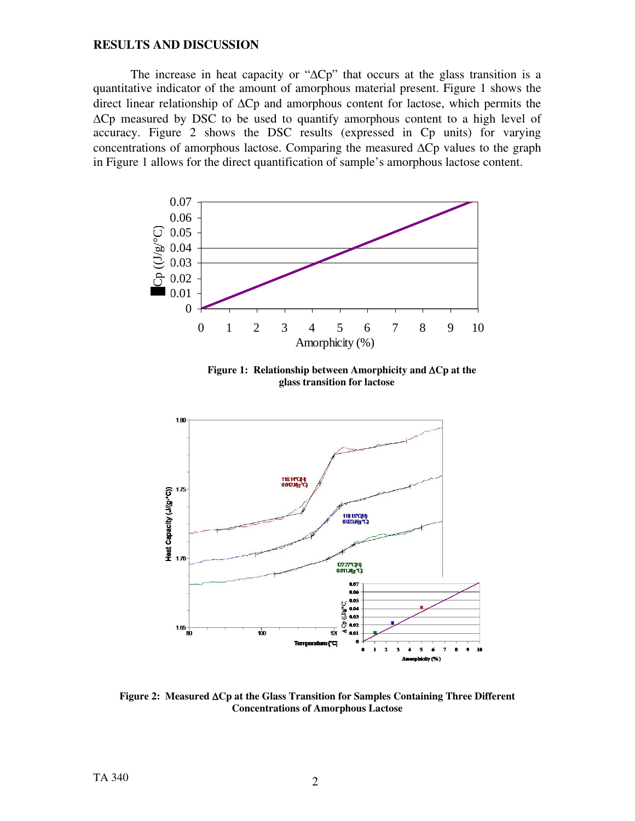## **RESULTS AND DISCUSSION**

The increase in heat capacity or "ΔCp" that occurs at the glass transition is a quantitative indicator of the amount of amorphous material present. Figure 1 shows the direct linear relationship of ΔCp and amorphous content for lactose, which permits the ΔCp measured by DSC to be used to quantify amorphous content to a high level of accuracy. Figure 2 shows the DSC results (expressed in Cp units) for varying concentrations of amorphous lactose. Comparing the measured  $\Delta$ Cp values to the graph in Figure 1 allows for the direct quantification of sample's amorphous lactose content.



 **Figure 1: Relationship between Amorphicity and** Δ**Cp at the glass transition for lactose** 



**Figure 2: Measured** Δ**Cp at the Glass Transition for Samples Containing Three Different Concentrations of Amorphous Lactose**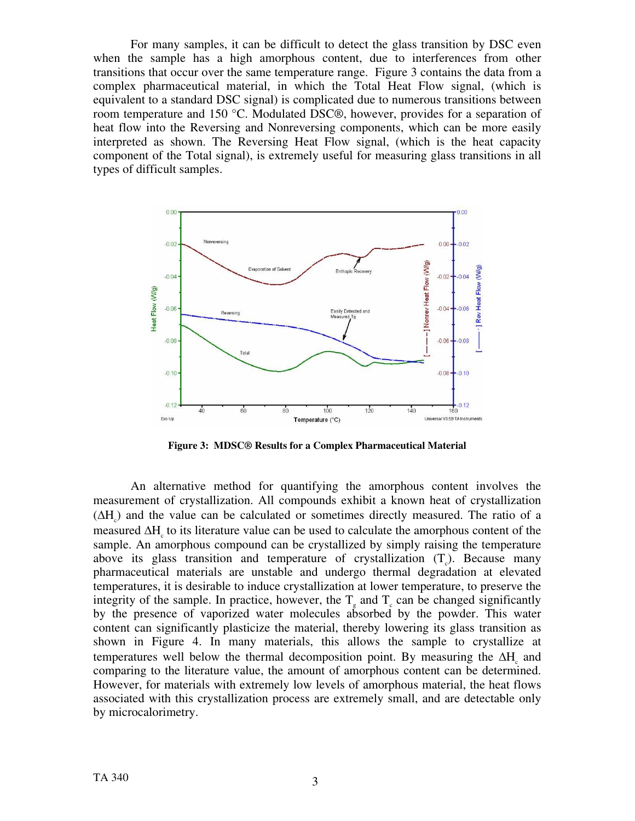For many samples, it can be difficult to detect the glass transition by DSC even when the sample has a high amorphous content, due to interferences from other transitions that occur over the same temperature range. Figure 3 contains the data from a complex pharmaceutical material, in which the Total Heat Flow signal, (which is equivalent to a standard DSC signal) is complicated due to numerous transitions between room temperature and 150 °C. Modulated DSC®, however, provides for a separation of heat flow into the Reversing and Nonreversing components, which can be more easily interpreted as shown. The Reversing Heat Flow signal, (which is the heat capacity component of the Total signal), is extremely useful for measuring glass transitions in all types of difficult samples.



**Figure 3: MDSC® Results for a Complex Pharmaceutical Material** 

An alternative method for quantifying the amorphous content involves the measurement of crystallization. All compounds exhibit a known heat of crystallization  $( \Delta H_c )$  and the value can be calculated or sometimes directly measured. The ratio of a measured  $\Delta H_c$  to its literature value can be used to calculate the amorphous content of the sample. An amorphous compound can be crystallized by simply raising the temperature above its glass transition and temperature of crystallization  $(T_c)$ . Because many pharmaceutical materials are unstable and undergo thermal degradation at elevated temperatures, it is desirable to induce crystallization at lower temperature, to preserve the integrity of the sample. In practice, however, the  $T_g$  and  $T_c$  can be changed significantly by the presence of vaporized water molecules absorbed by the powder. This water content can significantly plasticize the material, thereby lowering its glass transition as shown in Figure 4. In many materials, this allows the sample to crystallize at temperatures well below the thermal decomposition point. By measuring the  $\Delta H_c$  and comparing to the literature value, the amount of amorphous content can be determined. However, for materials with extremely low levels of amorphous material, the heat flows associated with this crystallization process are extremely small, and are detectable only by microcalorimetry.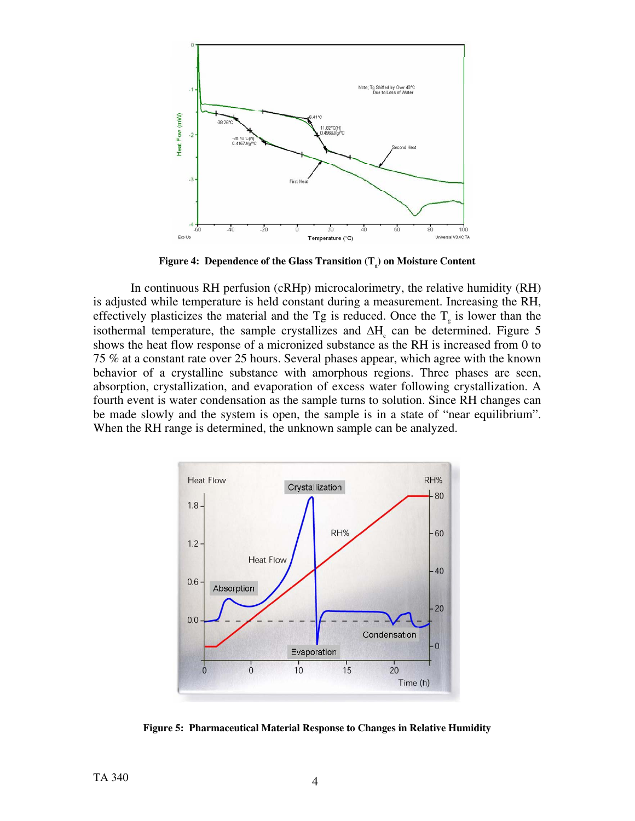

Figure 4: Dependence of the Glass Transition (T<sub>a</sub>) on Moisture Content

In continuous RH perfusion (cRHp) microcalorimetry, the relative humidity (RH) is adjusted while temperature is held constant during a measurement. Increasing the RH, effectively plasticizes the material and the  $T_g$  is reduced. Once the  $T_g$  is lower than the isothermal temperature, the sample crystallizes and  $\Delta H_c$  can be determined. Figure 5 shows the heat flow response of a micronized substance as the RH is increased from 0 to 75 % at a constant rate over 25 hours. Several phases appear, which agree with the known behavior of a crystalline substance with amorphous regions. Three phases are seen, absorption, crystallization, and evaporation of excess water following crystallization. A fourth event is water condensation as the sample turns to solution. Since RH changes can be made slowly and the system is open, the sample is in a state of "near equilibrium". When the RH range is determined, the unknown sample can be analyzed.



**Figure 5: Pharmaceutical Material Response to Changes in Relative Humidity**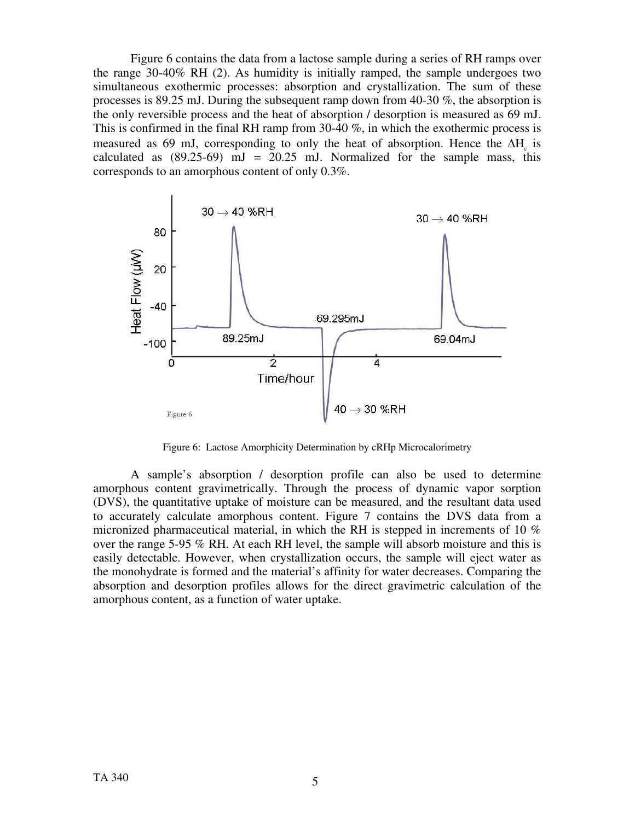Figure 6 contains the data from a lactose sample during a series of RH ramps over the range 30-40% RH (2). As humidity is initially ramped, the sample undergoes two simultaneous exothermic processes: absorption and crystallization. The sum of these processes is 89.25 mJ. During the subsequent ramp down from 40-30  $\%$ , the absorption is the only reversible process and the heat of absorption / desorption is measured as 69 mJ. This is confirmed in the final RH ramp from 30-40  $\%$ , in which the exothermic process is measured as 69 mJ, corresponding to only the heat of absorption. Hence the  $\Delta H_c$  is calculated as  $(89.25-69)$  mJ = 20.25 mJ. Normalized for the sample mass, this corresponds to an amorphous content of only 0.3%.



Figure 6: Lactose Amorphicity Determination by cRHp Microcalorimetry

A sample's absorption / desorption profile can also be used to determine amorphous content gravimetrically. Through the process of dynamic vapor sorption (DVS), the quantitative uptake of moisture can be measured, and the resultant data used to accurately calculate amorphous content. Figure 7 contains the DVS data from a micronized pharmaceutical material, in which the RH is stepped in increments of 10 % over the range 5-95 % RH. At each RH level, the sample will absorb moisture and this is easily detectable. However, when crystallization occurs, the sample will eject water as the monohydrate is formed and the material's affinity for water decreases. Comparing the absorption and desorption profiles allows for the direct gravimetric calculation of the amorphous content, as a function of water uptake.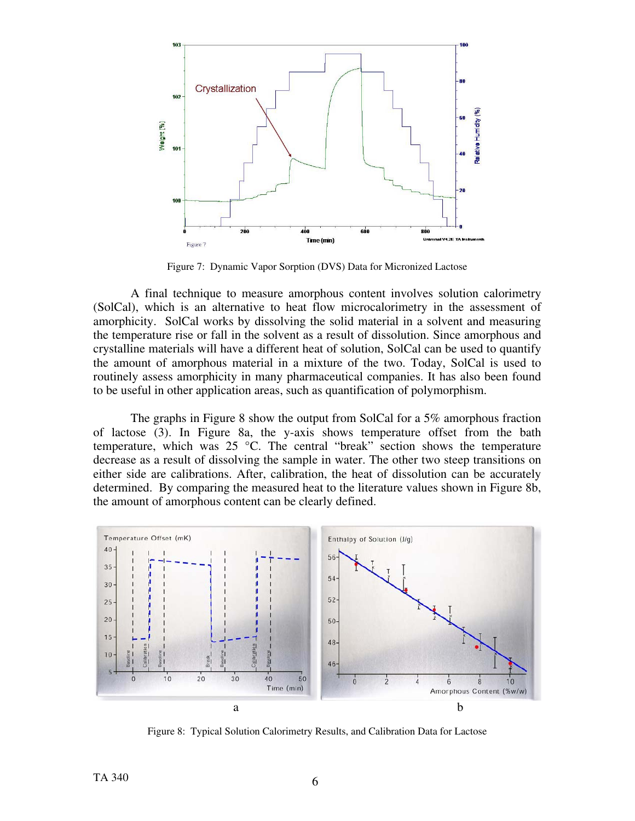

Figure 7: Dynamic Vapor Sorption (DVS) Data for Micronized Lactose

A final technique to measure amorphous content involves solution calorimetry (SolCal), which is an alternative to heat flow microcalorimetry in the assessment of amorphicity. SolCal works by dissolving the solid material in a solvent and measuring the temperature rise or fall in the solvent as a result of dissolution. Since amorphous and crystalline materials will have a different heat of solution, SolCal can be used to quantify the amount of amorphous material in a mixture of the two. Today, SolCal is used to routinely assess amorphicity in many pharmaceutical companies. It has also been found to be useful in other application areas, such as quantification of polymorphism.

The graphs in Figure 8 show the output from SolCal for a 5% amorphous fraction of lactose (3). In Figure 8a, the y-axis shows temperature offset from the bath temperature, which was 25 °C. The central "break" section shows the temperature decrease as a result of dissolving the sample in water. The other two steep transitions on either side are calibrations. After, calibration, the heat of dissolution can be accurately determined. By comparing the measured heat to the literature values shown in Figure 8b, the amount of amorphous content can be clearly defined.



Figure 8: Typical Solution Calorimetry Results, and Calibration Data for Lactose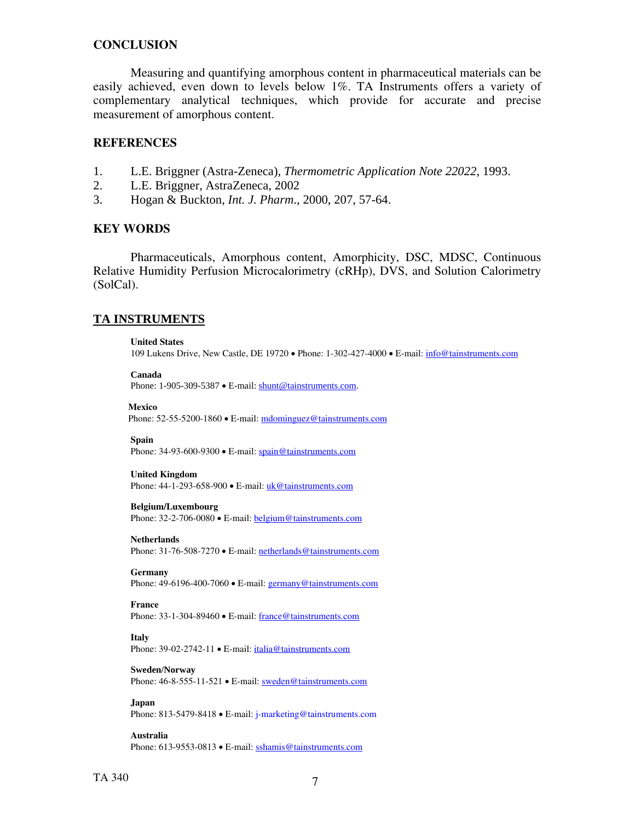## **CONCLUSION**

Measuring and quantifying amorphous content in pharmaceutical materials can be easily achieved, even down to levels below 1%. TA Instruments offers a variety of complementary analytical techniques, which provide for accurate and precise measurement of amorphous content.

## **REFERENCES**

- 1. L.E. Briggner (Astra-Zeneca), *Thermometric Application Note 22022*, 1993.
- 2. L.E. Briggner, AstraZeneca, 2002
- 3. Hogan & Buckton, *Int. J. Pharm*., 2000, 207, 57-64.

## **KEY WORDS**

Pharmaceuticals, Amorphous content, Amorphicity, DSC, MDSC, Continuous Relative Humidity Perfusion Microcalorimetry (cRHp), DVS, and Solution Calorimetry (SolCal).

### **TA INSTRUMENTS**

#### **United States**

109 Lukens Drive, New Castle, DE 19720 • Phone: 1-302-427-4000 • E-mail: [info@tainstruments.com](mailto:info@tainstruments.com) 

# **Canada**

Phone: 1-905-309-5387 • E-mail: [shunt@tainstruments.com.](mailto:shunt@tainstruments.com)

## **Mexico**

Phone: 52-55-5200-1860 • E-mail: mdominguez@tainstruments.com

#### **Spain**

Phone: 34-93-600-9300 • E-mail: spain@tainstruments.com

#### **United Kingdom**

Phone: 44-1-293-658-900 • E-mail: uk@tainstruments.com

#### **Belgium/Luxembourg**

Phone: 32-2-706-0080 • E-mail: **belgium@tainstruments.com** 

#### **Netherlands**

Phone: 31-76-508-7270 • E-mail: [netherlands@tainstruments.com](mailto:netherlands@tainstruments.com)

#### **Germany**

Phone: 49-6196-400-7060 • E-mail: [germany@tainstruments.com](mailto:germany@tainstruments.com)

#### **France**

Phone: 33-1-304-89460 • E-mail: [france@tainstruments.com](mailto:france@tainstruments.com)

#### **Italy**

Phone: 39-02-2742-11 • E-mail: [italia@tainstruments.com](mailto:italia@tainstruments.com)

#### **Sweden/Norway**  Phone: 46-8-555-11-521 • E-mail: [sweden@tainstruments.com](mailto:sweden@tainstruments.com)

**Japan**  Phone: 813-5479-8418 • E-mail: j-marketing@tainstruments.com

**Australia**  Phone: 613-9553-0813 • E-mail: [sshamis@tainstruments.com](mailto:sshamis@tainstruments.com)